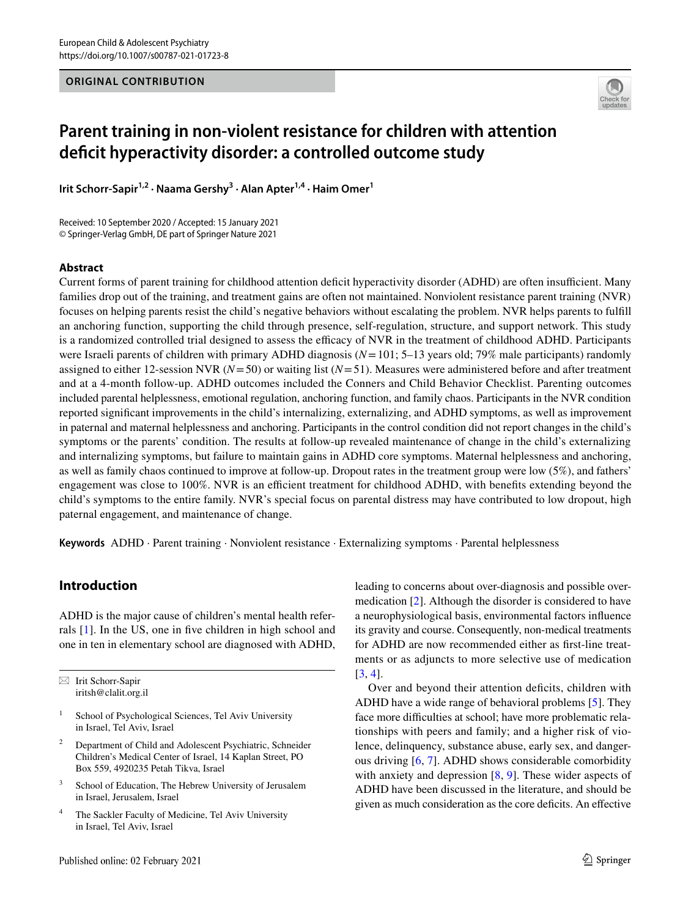## **ORIGINAL CONTRIBUTION**



# **Parent training in non‑violent resistance for children with attention defcit hyperactivity disorder: a controlled outcome study**

Irit Schorr-Sapir<sup>1,2</sup> · Naama Gershy<sup>3</sup> · Alan Apter<sup>1,4</sup> · Haim Omer<sup>1</sup>

Received: 10 September 2020 / Accepted: 15 January 2021 © Springer-Verlag GmbH, DE part of Springer Nature 2021

## **Abstract**

Current forms of parent training for childhood attention deficit hyperactivity disorder (ADHD) are often insufficient. Many families drop out of the training, and treatment gains are often not maintained. Nonviolent resistance parent training (NVR) focuses on helping parents resist the child's negative behaviors without escalating the problem. NVR helps parents to fulfll an anchoring function, supporting the child through presence, self-regulation, structure, and support network. This study is a randomized controlled trial designed to assess the efficacy of NVR in the treatment of childhood ADHD. Participants were Israeli parents of children with primary ADHD diagnosis (*N*=101; 5–13 years old; 79% male participants) randomly assigned to either 12-session NVR (*N*=50) or waiting list (*N*=51). Measures were administered before and after treatment and at a 4-month follow-up. ADHD outcomes included the Conners and Child Behavior Checklist. Parenting outcomes included parental helplessness, emotional regulation, anchoring function, and family chaos. Participants in the NVR condition reported signifcant improvements in the child's internalizing, externalizing, and ADHD symptoms, as well as improvement in paternal and maternal helplessness and anchoring. Participants in the control condition did not report changes in the child's symptoms or the parents' condition. The results at follow-up revealed maintenance of change in the child's externalizing and internalizing symptoms, but failure to maintain gains in ADHD core symptoms. Maternal helplessness and anchoring, as well as family chaos continued to improve at follow-up. Dropout rates in the treatment group were low (5%), and fathers' engagement was close to 100%. NVR is an efficient treatment for childhood ADHD, with benefits extending beyond the child's symptoms to the entire family. NVR's special focus on parental distress may have contributed to low dropout, high paternal engagement, and maintenance of change.

**Keywords** ADHD · Parent training · Nonviolent resistance · Externalizing symptoms · Parental helplessness

# **Introduction**

ADHD is the major cause of children's mental health referrals [[1](#page-8-0)]. In the US, one in fve children in high school and one in ten in elementary school are diagnosed with ADHD,

 $\boxtimes$  Irit Schorr-Sapir iritsh@clalit.org.il

- School of Psychological Sciences, Tel Aviv University in Israel, Tel Aviv, Israel
- <sup>2</sup> Department of Child and Adolescent Psychiatric, Schneider Children's Medical Center of Israel, 14 Kaplan Street, PO Box 559, 4920235 Petah Tikva, Israel
- <sup>3</sup> School of Education, The Hebrew University of Jerusalem in Israel, Jerusalem, Israel
- <sup>4</sup> The Sackler Faculty of Medicine, Tel Aviv University in Israel, Tel Aviv, Israel

leading to concerns about over-diagnosis and possible overmedication [[2\]](#page-8-1). Although the disorder is considered to have a neurophysiological basis, environmental factors infuence its gravity and course. Consequently, non-medical treatments for ADHD are now recommended either as frst-line treatments or as adjuncts to more selective use of medication [[3,](#page-8-2) [4\]](#page-8-3).

Over and beyond their attention deficits, children with ADHD have a wide range of behavioral problems [\[5\]](#page-8-4). They face more difficulties at school; have more problematic relationships with peers and family; and a higher risk of violence, delinquency, substance abuse, early sex, and dangerous driving [\[6](#page-8-5), [7](#page-8-6)]. ADHD shows considerable comorbidity with anxiety and depression  $[8, 9]$  $[8, 9]$  $[8, 9]$  $[8, 9]$  $[8, 9]$ . These wider aspects of ADHD have been discussed in the literature, and should be given as much consideration as the core deficits. An effective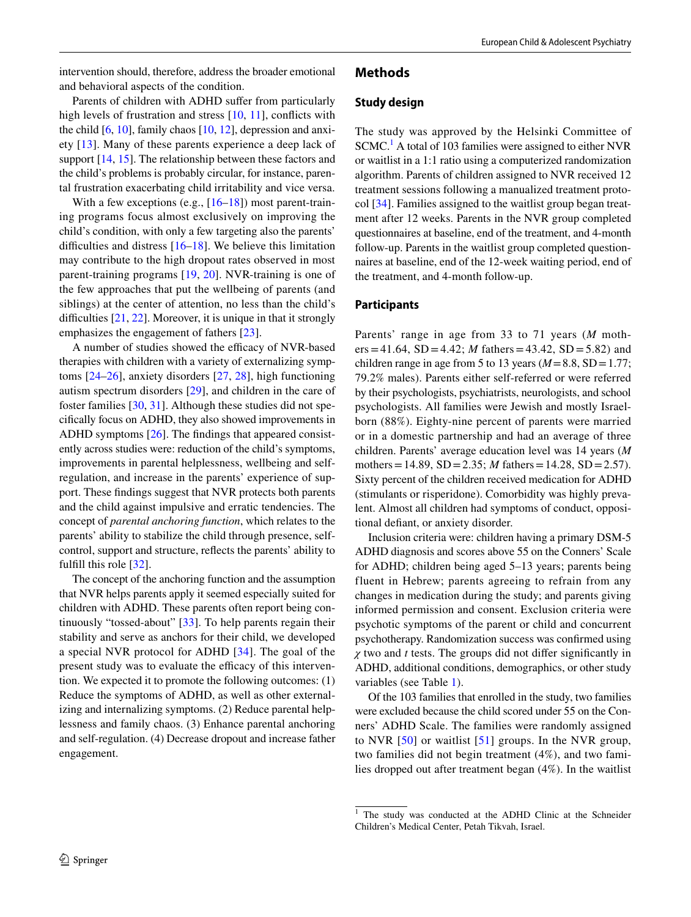intervention should, therefore, address the broader emotional and behavioral aspects of the condition.

Parents of children with ADHD sufer from particularly high levels of frustration and stress [[10,](#page-8-9) [11](#page-8-10)], conflicts with the child [[6,](#page-8-5) [10\]](#page-8-9), family chaos [\[10](#page-8-9), [12](#page-8-11)], depression and anxiety [[13](#page-8-12)]. Many of these parents experience a deep lack of support [[14,](#page-8-13) [15\]](#page-8-14). The relationship between these factors and the child's problems is probably circular, for instance, parental frustration exacerbating child irritability and vice versa.

With a few exceptions (e.g.,  $[16-18]$  $[16-18]$ ) most parent-training programs focus almost exclusively on improving the child's condition, with only a few targeting also the parents' difficulties and distress  $[16–18]$  $[16–18]$  $[16–18]$ . We believe this limitation may contribute to the high dropout rates observed in most parent-training programs [[19,](#page-9-1) [20](#page-9-2)]. NVR-training is one of the few approaches that put the wellbeing of parents (and siblings) at the center of attention, no less than the child's difficulties  $[21, 22]$  $[21, 22]$  $[21, 22]$  $[21, 22]$ . Moreover, it is unique in that it strongly emphasizes the engagement of fathers [[23](#page-9-5)].

A number of studies showed the efficacy of NVR-based therapies with children with a variety of externalizing symptoms [[24](#page-9-6)[–26](#page-9-7)], anxiety disorders [\[27](#page-9-8), [28\]](#page-9-9), high functioning autism spectrum disorders [[29\]](#page-9-10), and children in the care of foster families [\[30](#page-9-11), [31](#page-9-12)]. Although these studies did not specifcally focus on ADHD, they also showed improvements in ADHD symptoms [[26\]](#page-9-7). The fndings that appeared consistently across studies were: reduction of the child's symptoms, improvements in parental helplessness, wellbeing and selfregulation, and increase in the parents' experience of support. These fndings suggest that NVR protects both parents and the child against impulsive and erratic tendencies. The concept of *parental anchoring function*, which relates to the parents' ability to stabilize the child through presence, selfcontrol, support and structure, refects the parents' ability to fulfll this role [[32\]](#page-9-13).

The concept of the anchoring function and the assumption that NVR helps parents apply it seemed especially suited for children with ADHD. These parents often report being continuously "tossed-about" [[33\]](#page-9-14). To help parents regain their stability and serve as anchors for their child, we developed a special NVR protocol for ADHD [[34\]](#page-9-15). The goal of the present study was to evaluate the efficacy of this intervention. We expected it to promote the following outcomes: (1) Reduce the symptoms of ADHD, as well as other externalizing and internalizing symptoms. (2) Reduce parental helplessness and family chaos. (3) Enhance parental anchoring and self-regulation. (4) Decrease dropout and increase father engagement.

## **Methods**

#### **Study design**

The study was approved by the Helsinki Committee of SCMC.<sup>1</sup> A total of 103 families were assigned to either NVR or waitlist in a 1:1 ratio using a computerized randomization algorithm. Parents of children assigned to NVR received 12 treatment sessions following a manualized treatment protocol [[34\]](#page-9-15). Families assigned to the waitlist group began treatment after 12 weeks. Parents in the NVR group completed questionnaires at baseline, end of the treatment, and 4-month follow-up. Parents in the waitlist group completed questionnaires at baseline, end of the 12-week waiting period, end of the treatment, and 4-month follow-up.

#### **Participants**

Parents' range in age from 33 to 71 years (*M* moth $ers = 41.64$ ,  $SD = 4.42$ ; *M* fathers = 43.42,  $SD = 5.82$ ) and children range in age from 5 to 13 years  $(M=8.8, SD=1.77;$ 79.2% males). Parents either self-referred or were referred by their psychologists, psychiatrists, neurologists, and school psychologists. All families were Jewish and mostly Israelborn (88%). Eighty-nine percent of parents were married or in a domestic partnership and had an average of three children. Parents' average education level was 14 years (*M* mothers=14.89, SD=2.35; *M* fathers=14.28, SD=2.57). Sixty percent of the children received medication for ADHD (stimulants or risperidone). Comorbidity was highly prevalent. Almost all children had symptoms of conduct, oppositional defant, or anxiety disorder.

Inclusion criteria were: children having a primary DSM-5 ADHD diagnosis and scores above 55 on the Conners' Scale for ADHD; children being aged 5–13 years; parents being fluent in Hebrew; parents agreeing to refrain from any changes in medication during the study; and parents giving informed permission and consent. Exclusion criteria were psychotic symptoms of the parent or child and concurrent psychotherapy. Randomization success was confrmed using *χ* two and *t* tests. The groups did not difer signifcantly in ADHD, additional conditions, demographics, or other study variables (see Table [1\)](#page-2-0).

Of the 103 families that enrolled in the study, two families were excluded because the child scored under 55 on the Conners' ADHD Scale. The families were randomly assigned to NVR [[50](#page-9-16)] or waitlist [[51\]](#page-9-17) groups. In the NVR group, two families did not begin treatment (4%), and two families dropped out after treatment began (4%). In the waitlist

<span id="page-1-0"></span><sup>&</sup>lt;sup>1</sup> The study was conducted at the ADHD Clinic at the Schneider Children's Medical Center, Petah Tikvah, Israel.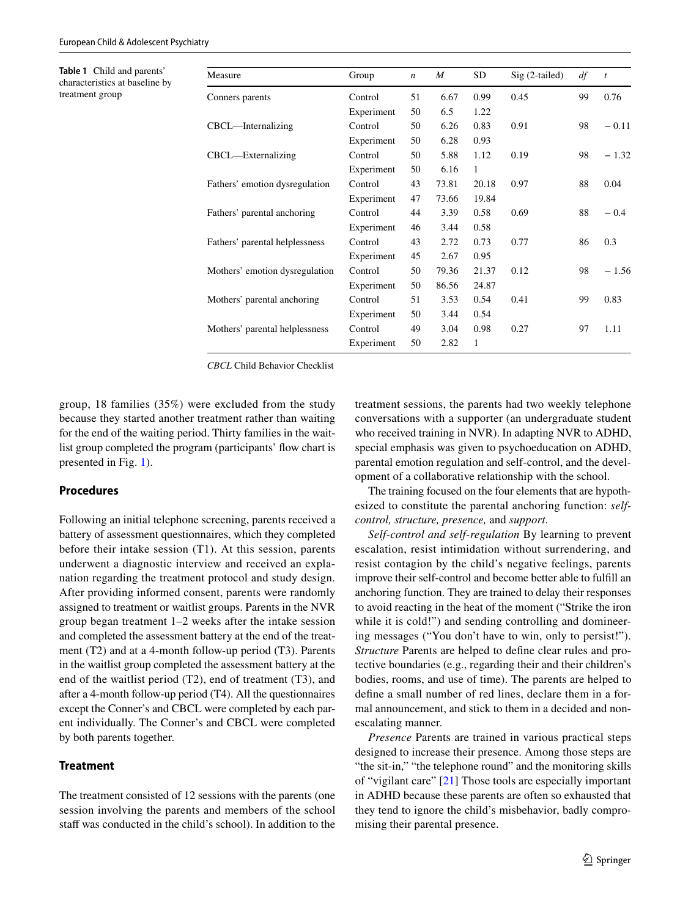<span id="page-2-0"></span>**Table 1** Child and parents' characteristics at baseline by treatment group

| Measure                        | Group      | $\boldsymbol{n}$ | M     | <b>SD</b>    | Sig (2-tailed) | df | $\boldsymbol{t}$<br>0.76 |  |
|--------------------------------|------------|------------------|-------|--------------|----------------|----|--------------------------|--|
| Conners parents                | Control    | 51               | 6.67  | 0.99         | 0.45           | 99 |                          |  |
|                                | Experiment | 50               | 6.5   | 1.22         |                |    |                          |  |
| $CBCL$ —Internalizing          | Control    | 50               | 6.26  | 0.83         | 0.91           | 98 | $-0.11$                  |  |
|                                | Experiment | 50               | 6.28  | 0.93         |                |    |                          |  |
| CBCL—Externalizing             | Control    | 50               | 5.88  | 1.12         | 0.19           | 98 | $-1.32$                  |  |
|                                | Experiment | 50               | 6.16  | $\mathbf{1}$ |                |    |                          |  |
| Fathers' emotion dysregulation | Control    | 43               | 73.81 | 20.18        | 0.97           | 88 | 0.04                     |  |
|                                | Experiment | 47               | 73.66 | 19.84        |                |    |                          |  |
| Fathers' parental anchoring    | Control    | 44               | 3.39  | 0.58         | 0.69           | 88 | $-0.4$                   |  |
|                                | Experiment | 46               | 3.44  | 0.58         |                |    |                          |  |
| Fathers' parental helplessness | Control    | 43               | 2.72  | 0.73         | 0.77           | 86 | 0.3                      |  |
|                                | Experiment | 45               | 2.67  | 0.95         |                |    |                          |  |
| Mothers' emotion dysregulation | Control    | 50               | 79.36 | 21.37        | 0.12           | 98 | $-1.56$                  |  |
|                                | Experiment | 50               | 86.56 | 24.87        |                |    |                          |  |
| Mothers' parental anchoring    | Control    | 51               | 3.53  | 0.54         | 0.41           | 99 | 0.83                     |  |
|                                | Experiment | 50               | 3.44  | 0.54         |                |    |                          |  |
| Mothers' parental helplessness | Control    | 49               | 3.04  | 0.98         | 0.27           | 97 | 1.11                     |  |
|                                | Experiment | 50               | 2.82  | $\mathbf{1}$ |                |    |                          |  |

*CBCL* Child Behavior Checklist

group, 18 families (35%) were excluded from the study because they started another treatment rather than waiting for the end of the waiting period. Thirty families in the waitlist group completed the program (participants' fow chart is presented in Fig. [1\)](#page-3-0).

## **Procedures**

Following an initial telephone screening, parents received a battery of assessment questionnaires, which they completed before their intake session (T1). At this session, parents underwent a diagnostic interview and received an explanation regarding the treatment protocol and study design. After providing informed consent, parents were randomly assigned to treatment or waitlist groups. Parents in the NVR group began treatment 1–2 weeks after the intake session and completed the assessment battery at the end of the treatment (T2) and at a 4-month follow-up period (T3). Parents in the waitlist group completed the assessment battery at the end of the waitlist period (T2), end of treatment (T3), and after a 4-month follow-up period (T4). All the questionnaires except the Conner's and CBCL were completed by each parent individually. The Conner's and CBCL were completed by both parents together.

## **Treatment**

The treatment consisted of 12 sessions with the parents (one session involving the parents and members of the school staff was conducted in the child's school). In addition to the treatment sessions, the parents had two weekly telephone conversations with a supporter (an undergraduate student who received training in NVR). In adapting NVR to ADHD, special emphasis was given to psychoeducation on ADHD, parental emotion regulation and self-control, and the development of a collaborative relationship with the school.

The training focused on the four elements that are hypothesized to constitute the parental anchoring function: *selfcontrol, structure, presence,* and *support*.

*Self-control and self-regulation* By learning to prevent escalation, resist intimidation without surrendering, and resist contagion by the child's negative feelings, parents improve their self-control and become better able to fulfll an anchoring function. They are trained to delay their responses to avoid reacting in the heat of the moment ("Strike the iron while it is cold!") and sending controlling and domineering messages ("You don't have to win, only to persist!"). *Structure* Parents are helped to defne clear rules and protective boundaries (e.g., regarding their and their children's bodies, rooms, and use of time). The parents are helped to defne a small number of red lines, declare them in a formal announcement, and stick to them in a decided and nonescalating manner.

*Presence* Parents are trained in various practical steps designed to increase their presence. Among those steps are "the sit-in," "the telephone round" and the monitoring skills of "vigilant care" [[21](#page-9-3)] Those tools are especially important in ADHD because these parents are often so exhausted that they tend to ignore the child's misbehavior, badly compromising their parental presence.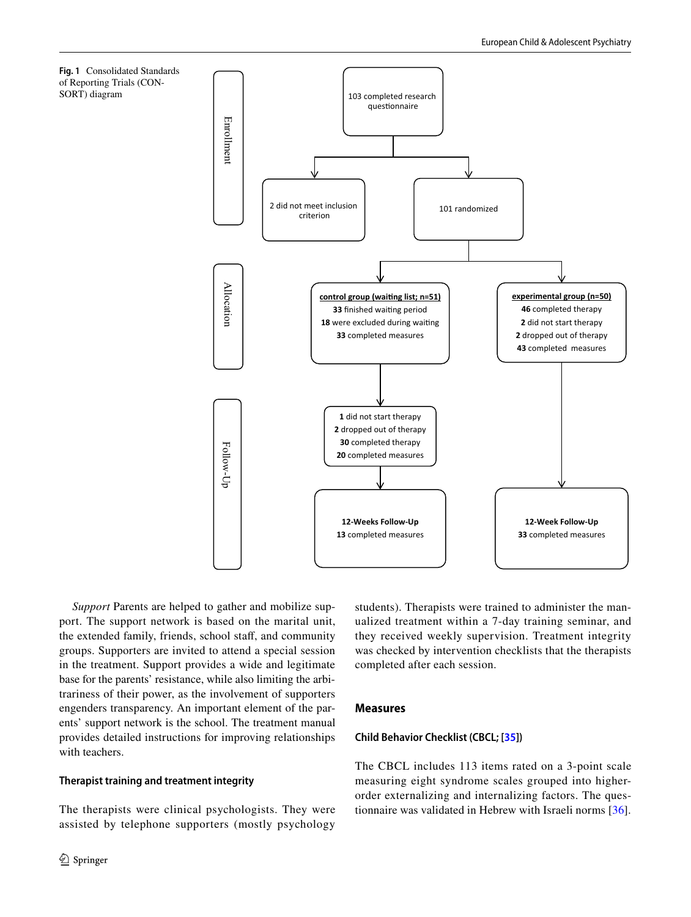<span id="page-3-0"></span>



*Support* Parents are helped to gather and mobilize support. The support network is based on the marital unit, the extended family, friends, school staff, and community groups. Supporters are invited to attend a special session in the treatment. Support provides a wide and legitimate base for the parents' resistance, while also limiting the arbitrariness of their power, as the involvement of supporters engenders transparency. An important element of the parents' support network is the school. The treatment manual provides detailed instructions for improving relationships with teachers.

## **Therapist training and treatment integrity**

The therapists were clinical psychologists. They were assisted by telephone supporters (mostly psychology students). Therapists were trained to administer the manualized treatment within a 7-day training seminar, and they received weekly supervision. Treatment integrity was checked by intervention checklists that the therapists completed after each session.

## **Measures**

## **Child Behavior Checklist (CBCL; [[35\]](#page-9-18))**

The CBCL includes 113 items rated on a 3-point scale measuring eight syndrome scales grouped into higherorder externalizing and internalizing factors. The questionnaire was validated in Hebrew with Israeli norms [[36](#page-9-19)].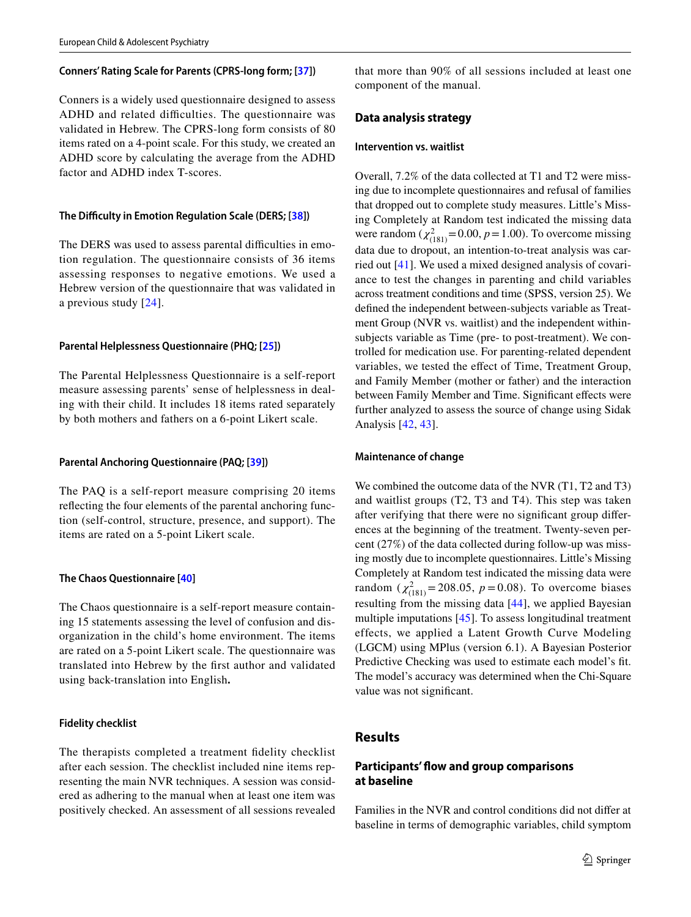#### **Conners' Rating Scale for Parents (CPRS‑long form; [[37\]](#page-9-20))**

Conners is a widely used questionnaire designed to assess ADHD and related difficulties. The questionnaire was validated in Hebrew. The CPRS-long form consists of 80 items rated on a 4-point scale. For this study, we created an ADHD score by calculating the average from the ADHD factor and ADHD index T-scores.

#### **The Difculty in Emotion Regulation Scale (DERS; [\[38](#page-9-21)])**

The DERS was used to assess parental difficulties in emotion regulation. The questionnaire consists of 36 items assessing responses to negative emotions. We used a Hebrew version of the questionnaire that was validated in a previous study [[24\]](#page-9-6).

#### **Parental Helplessness Questionnaire (PHQ; [\[25](#page-9-22)])**

The Parental Helplessness Questionnaire is a self-report measure assessing parents' sense of helplessness in dealing with their child. It includes 18 items rated separately by both mothers and fathers on a 6-point Likert scale.

#### **Parental Anchoring Questionnaire (PAQ; [[39\]](#page-9-23))**

The PAQ is a self-report measure comprising 20 items refecting the four elements of the parental anchoring function (self-control, structure, presence, and support). The items are rated on a 5-point Likert scale.

#### **The Chaos Questionnaire [[40\]](#page-9-24)**

The Chaos questionnaire is a self-report measure containing 15 statements assessing the level of confusion and disorganization in the child's home environment. The items are rated on a 5-point Likert scale. The questionnaire was translated into Hebrew by the frst author and validated using back-translation into English**.**

#### **Fidelity checklist**

The therapists completed a treatment fdelity checklist after each session. The checklist included nine items representing the main NVR techniques. A session was considered as adhering to the manual when at least one item was positively checked. An assessment of all sessions revealed that more than 90% of all sessions included at least one component of the manual.

## **Data analysis strategy**

## **Intervention vs. waitlist**

Overall, 7.2% of the data collected at T1 and T2 were missing due to incomplete questionnaires and refusal of families that dropped out to complete study measures. Little's Missing Completely at Random test indicated the missing data were random  $(\chi^2_{(181)} = 0.00, p = 1.00)$ . To overcome missing data due to dropout, an intention-to-treat analysis was carried out [\[41](#page-9-25)]. We used a mixed designed analysis of covariance to test the changes in parenting and child variables across treatment conditions and time (SPSS, version 25). We defned the independent between-subjects variable as Treatment Group (NVR vs. waitlist) and the independent withinsubjects variable as Time (pre- to post-treatment). We controlled for medication use. For parenting-related dependent variables, we tested the efect of Time, Treatment Group, and Family Member (mother or father) and the interaction between Family Member and Time. Significant effects were further analyzed to assess the source of change using Sidak Analysis [[42](#page-9-26), [43](#page-9-27)].

#### **Maintenance of change**

We combined the outcome data of the NVR (T1, T2 and T3) and waitlist groups (T2, T3 and T4). This step was taken after verifying that there were no signifcant group diferences at the beginning of the treatment. Twenty-seven percent (27%) of the data collected during follow-up was missing mostly due to incomplete questionnaires. Little's Missing Completely at Random test indicated the missing data were random ( $\chi^2_{(181)}$ = 208.05, *p* = 0.08). To overcome biases resulting from the missing data [[44](#page-9-28)], we applied Bayesian multiple imputations [[45](#page-9-29)]. To assess longitudinal treatment effects, we applied a Latent Growth Curve Modeling (LGCM) using MPlus (version 6.1). A Bayesian Posterior Predictive Checking was used to estimate each model's ft. The model's accuracy was determined when the Chi-Square value was not signifcant.

## **Results**

## **Participants' fow and group comparisons at baseline**

Families in the NVR and control conditions did not difer at baseline in terms of demographic variables, child symptom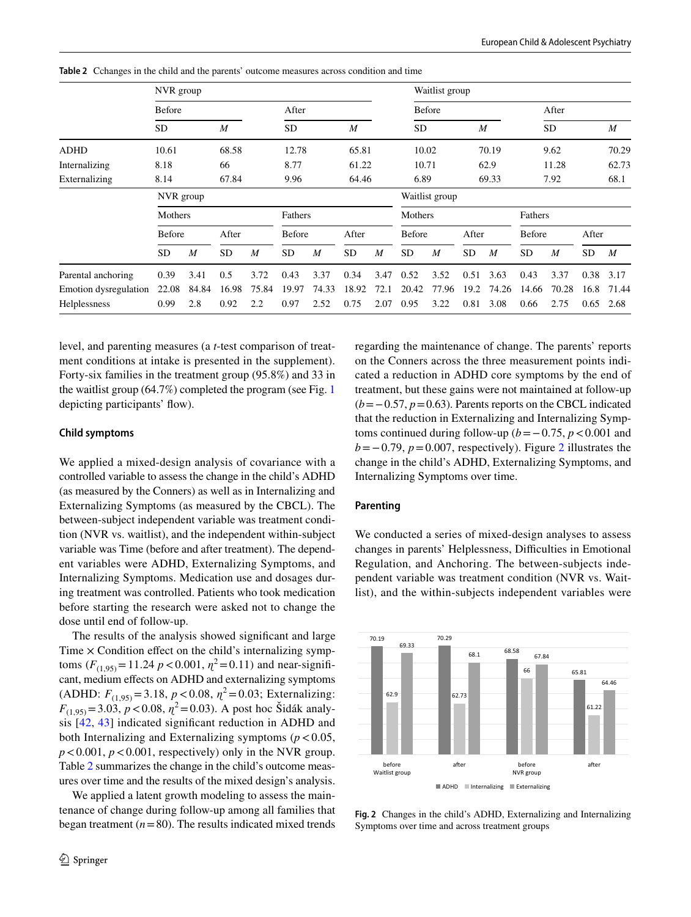|                       | NVR group     |       |                  |                  |               |                  |               |         | Waitlist group |                  |           |                  |               |                  |       |                  |  |
|-----------------------|---------------|-------|------------------|------------------|---------------|------------------|---------------|---------|----------------|------------------|-----------|------------------|---------------|------------------|-------|------------------|--|
|                       | <b>Before</b> |       |                  | After            |               |                  | <b>Before</b> |         |                |                  | After     |                  |               |                  |       |                  |  |
|                       | SD            |       | $\boldsymbol{M}$ |                  | <b>SD</b>     |                  | M             |         | SD             |                  | M         |                  |               | SD               |       | $\boldsymbol{M}$ |  |
| ADHD                  | 10.61         |       | 68.58            | 12.78            |               |                  | 65.81         |         | 10.02          |                  | 70.19     |                  | 9.62          |                  | 70.29 |                  |  |
| Internalizing         | 8.18          |       | 66               | 8.77             |               |                  | 61.22         |         | 10.71          |                  | 62.9      |                  | 11.28         |                  | 62.73 |                  |  |
| Externalizing         | 8.14          |       | 67.84            |                  | 9.96          |                  | 64.46         |         | 6.89           |                  | 69.33     |                  | 7.92          |                  | 68.1  |                  |  |
|                       | NVR group     |       |                  |                  |               |                  |               |         | Waitlist group |                  |           |                  |               |                  |       |                  |  |
|                       | Mothers       |       |                  |                  | Fathers       |                  |               | Mothers |                |                  |           | Fathers          |               |                  |       |                  |  |
|                       | Before        |       | After            |                  | <b>Before</b> |                  | After         |         | Before         |                  | After     |                  | <b>Before</b> |                  | After |                  |  |
|                       | <b>SD</b>     | M     | <b>SD</b>        | $\boldsymbol{M}$ | <b>SD</b>     | $\boldsymbol{M}$ | <b>SD</b>     | M       | <b>SD</b>      | $\boldsymbol{M}$ | <b>SD</b> | $\boldsymbol{M}$ | <b>SD</b>     | $\boldsymbol{M}$ | SD.   | $\boldsymbol{M}$ |  |
| Parental anchoring    | 0.39          | 3.41  | 0.5              | 3.72             | 0.43          | 3.37             | 0.34          | 3.47    | 0.52           | 3.52             | 0.51      | 3.63             | 0.43          | 3.37             | 0.38  | 3.17             |  |
| Emotion dysregulation | 22.08         | 84.84 | 16.98            | 75.84            | 19.97         | 74.33            | 18.92         | 72.1    | 20.42          | 77.96            | 19.2      | 74.26            | 14.66         | 70.28            | 16.8  | 71.44            |  |
| Helplessness          | 0.99          | 2.8   | 0.92             | 2.2              | 0.97          | 2.52             | 0.75          | 2.07    | 0.95           | 3.22             | 0.81      | 3.08             | 0.66          | 2.75             | 0.65  | 2.68             |  |

<span id="page-5-0"></span>**Table 2** Cchanges in the child and the parents' outcome measures across condition and time

level, and parenting measures (a *t*-test comparison of treatment conditions at intake is presented in the supplement). Forty-six families in the treatment group (95.8%) and 33 in the waitlist group (64.7%) completed the program (see Fig. [1](#page-3-0) depicting participants' flow).

#### **Child symptoms**

We applied a mixed-design analysis of covariance with a controlled variable to assess the change in the child's ADHD (as measured by the Conners) as well as in Internalizing and Externalizing Symptoms (as measured by the CBCL). The between-subject independent variable was treatment condition (NVR vs. waitlist), and the independent within-subject variable was Time (before and after treatment). The dependent variables were ADHD, Externalizing Symptoms, and Internalizing Symptoms. Medication use and dosages during treatment was controlled. Patients who took medication before starting the research were asked not to change the dose until end of follow-up.

The results of the analysis showed signifcant and large Time  $\times$  Condition effect on the child's internalizing symptoms  $(F_{(1.95)} = 11.24 \ p < 0.001, \eta^2 = 0.11)$  and near-significant, medium efects on ADHD and externalizing symptoms (ADHD:  $F_{(1,95)} = 3.18$ ,  $p < 0.08$ ,  $\eta^2 = 0.03$ ; Externalizing:  $F_{(1,95)} = 3.03, p < 0.08, \eta^2 = 0.03$ ). A post hoc Šidák analysis [[42,](#page-9-26) [43\]](#page-9-27) indicated signifcant reduction in ADHD and both Internalizing and Externalizing symptoms  $(p < 0.05$ ,  $p < 0.001$ ,  $p < 0.001$ , respectively) only in the NVR group. Table [2](#page-5-0) summarizes the change in the child's outcome measures over time and the results of the mixed design's analysis.

We applied a latent growth modeling to assess the maintenance of change during follow-up among all families that began treatment  $(n=80)$ . The results indicated mixed trends regarding the maintenance of change. The parents' reports on the Conners across the three measurement points indicated a reduction in ADHD core symptoms by the end of treatment, but these gains were not maintained at follow-up (*b*=−0.57, *p*=0.63). Parents reports on the CBCL indicated that the reduction in Externalizing and Internalizing Symptoms continued during follow-up ( $b$ =−0.75,  $p$ <0.001 and  $b = -0.79$ ,  $p = 0.007$ , respectively). Figure [2](#page-5-1) illustrates the change in the child's ADHD, Externalizing Symptoms, and Internalizing Symptoms over time.

#### **Parenting**

We conducted a series of mixed-design analyses to assess changes in parents' Helplessness, Difficulties in Emotional Regulation, and Anchoring. The between-subjects independent variable was treatment condition (NVR vs. Waitlist), and the within-subjects independent variables were



<span id="page-5-1"></span>**Fig. 2** Changes in the child's ADHD, Externalizing and Internalizing Symptoms over time and across treatment groups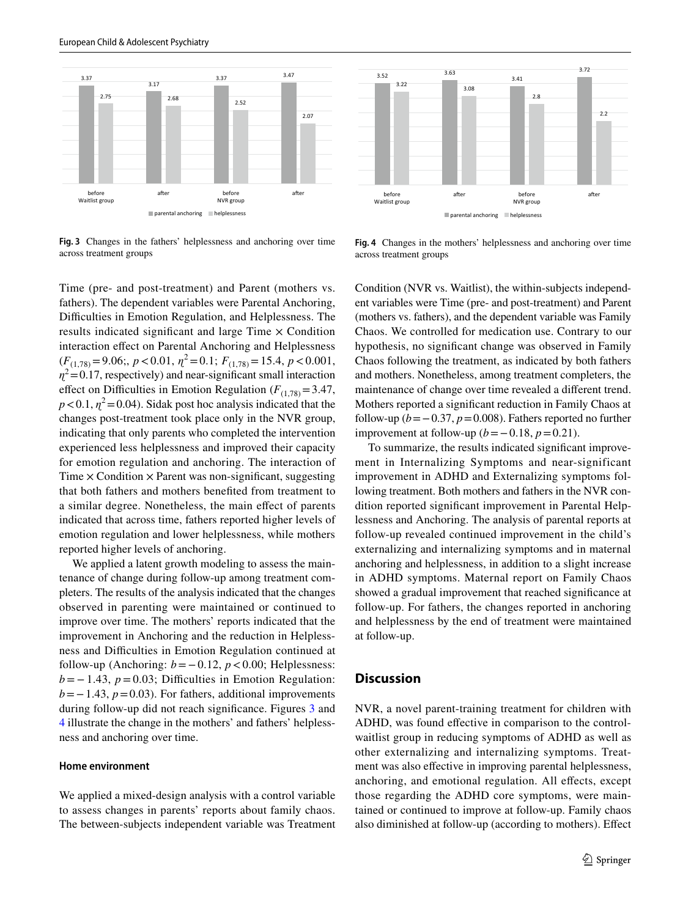

<span id="page-6-0"></span>**Fig. 3** Changes in the fathers' helplessness and anchoring over time across treatment groups



We applied a latent growth modeling to assess the maintenance of change during follow-up among treatment completers. The results of the analysis indicated that the changes observed in parenting were maintained or continued to improve over time. The mothers' reports indicated that the improvement in Anchoring and the reduction in Helplessness and Difculties in Emotion Regulation continued at follow-up (Anchoring:  $b = 0.12$ ,  $p < 0.00$ ; Helplessness:  $b = -1.43$ ,  $p = 0.03$ ; Difficulties in Emotion Regulation: *b* = −1.43, *p* = 0.03). For fathers, additional improvements during follow-up did not reach signifcance. Figures [3](#page-6-0) and [4](#page-6-1) illustrate the change in the mothers' and fathers' helplessness and anchoring over time.

#### **Home environment**

We applied a mixed-design analysis with a control variable to assess changes in parents' reports about family chaos. The between-subjects independent variable was Treatment



<span id="page-6-1"></span>**Fig. 4** Changes in the mothers' helplessness and anchoring over time across treatment groups

Condition (NVR vs. Waitlist), the within-subjects independent variables were Time (pre- and post-treatment) and Parent (mothers vs. fathers), and the dependent variable was Family Chaos. We controlled for medication use. Contrary to our hypothesis, no signifcant change was observed in Family Chaos following the treatment, as indicated by both fathers and mothers. Nonetheless, among treatment completers, the maintenance of change over time revealed a diferent trend. Mothers reported a signifcant reduction in Family Chaos at follow-up ( $b = -0.37$ ,  $p = 0.008$ ). Fathers reported no further improvement at follow-up  $(b=-0.18, p=0.21)$ .

To summarize, the results indicated signifcant improvement in Internalizing Symptoms and near-significant improvement in ADHD and Externalizing symptoms following treatment. Both mothers and fathers in the NVR condition reported signifcant improvement in Parental Helplessness and Anchoring. The analysis of parental reports at follow-up revealed continued improvement in the child's externalizing and internalizing symptoms and in maternal anchoring and helplessness, in addition to a slight increase in ADHD symptoms. Maternal report on Family Chaos showed a gradual improvement that reached signifcance at follow-up. For fathers, the changes reported in anchoring and helplessness by the end of treatment were maintained at follow-up.

#### **Discussion**

NVR, a novel parent-training treatment for children with ADHD, was found efective in comparison to the controlwaitlist group in reducing symptoms of ADHD as well as other externalizing and internalizing symptoms. Treatment was also efective in improving parental helplessness, anchoring, and emotional regulation. All efects, except those regarding the ADHD core symptoms, were maintained or continued to improve at follow-up. Family chaos also diminished at follow-up (according to mothers). Efect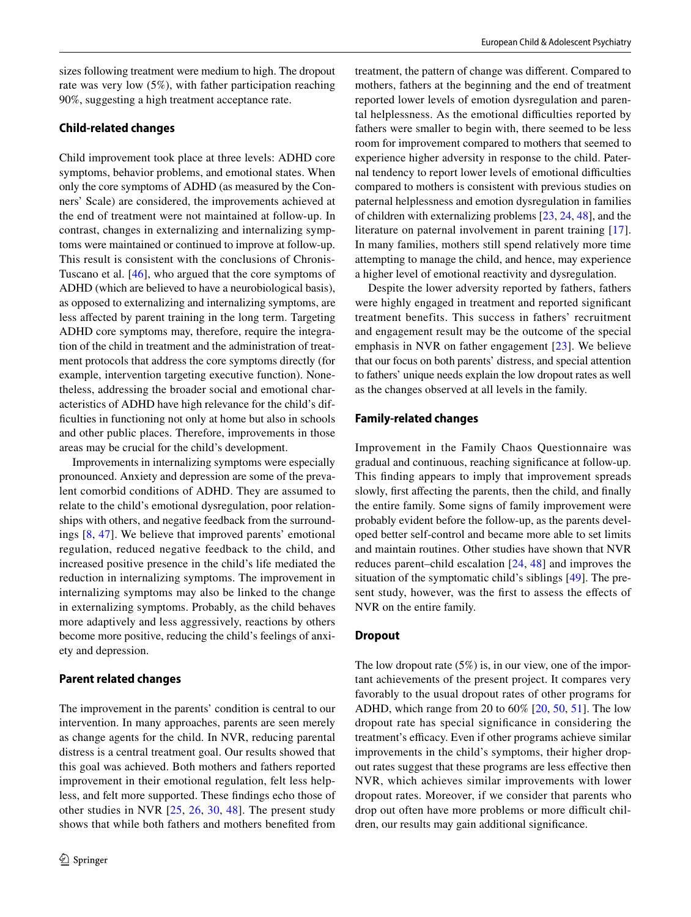sizes following treatment were medium to high. The dropout rate was very low (5%), with father participation reaching 90%, suggesting a high treatment acceptance rate.

#### **Child‑related changes**

Child improvement took place at three levels: ADHD core symptoms, behavior problems, and emotional states. When only the core symptoms of ADHD (as measured by the Conners' Scale) are considered, the improvements achieved at the end of treatment were not maintained at follow-up. In contrast, changes in externalizing and internalizing symptoms were maintained or continued to improve at follow-up. This result is consistent with the conclusions of Chronis-Tuscano et al. [[46\]](#page-9-30), who argued that the core symptoms of ADHD (which are believed to have a neurobiological basis), as opposed to externalizing and internalizing symptoms, are less afected by parent training in the long term. Targeting ADHD core symptoms may, therefore, require the integration of the child in treatment and the administration of treatment protocols that address the core symptoms directly (for example, intervention targeting executive function). Nonetheless, addressing the broader social and emotional characteristics of ADHD have high relevance for the child's diffculties in functioning not only at home but also in schools and other public places. Therefore, improvements in those areas may be crucial for the child's development.

Improvements in internalizing symptoms were especially pronounced. Anxiety and depression are some of the prevalent comorbid conditions of ADHD. They are assumed to relate to the child's emotional dysregulation, poor relationships with others, and negative feedback from the surroundings [\[8,](#page-8-7) [47](#page-9-31)]. We believe that improved parents' emotional regulation, reduced negative feedback to the child, and increased positive presence in the child's life mediated the reduction in internalizing symptoms. The improvement in internalizing symptoms may also be linked to the change in externalizing symptoms. Probably, as the child behaves more adaptively and less aggressively, reactions by others become more positive, reducing the child's feelings of anxiety and depression.

#### **Parent related changes**

The improvement in the parents' condition is central to our intervention. In many approaches, parents are seen merely as change agents for the child. In NVR, reducing parental distress is a central treatment goal. Our results showed that this goal was achieved. Both mothers and fathers reported improvement in their emotional regulation, felt less helpless, and felt more supported. These fndings echo those of other studies in NVR [[25](#page-9-22), [26](#page-9-7), [30](#page-9-11), [48](#page-9-32)]. The present study shows that while both fathers and mothers benefted from treatment, the pattern of change was diferent. Compared to mothers, fathers at the beginning and the end of treatment reported lower levels of emotion dysregulation and parental helplessness. As the emotional difficulties reported by fathers were smaller to begin with, there seemed to be less room for improvement compared to mothers that seemed to experience higher adversity in response to the child. Paternal tendency to report lower levels of emotional difficulties compared to mothers is consistent with previous studies on paternal helplessness and emotion dysregulation in families of children with externalizing problems [\[23](#page-9-5), [24,](#page-9-6) [48](#page-9-32)], and the literature on paternal involvement in parent training [[17](#page-8-16)]. In many families, mothers still spend relatively more time attempting to manage the child, and hence, may experience a higher level of emotional reactivity and dysregulation.

Despite the lower adversity reported by fathers, fathers were highly engaged in treatment and reported signifcant treatment benefits. This success in fathers' recruitment and engagement result may be the outcome of the special emphasis in NVR on father engagement [[23](#page-9-5)]. We believe that our focus on both parents' distress, and special attention to fathers' unique needs explain the low dropout rates as well as the changes observed at all levels in the family.

#### **Family‑related changes**

Improvement in the Family Chaos Questionnaire was gradual and continuous, reaching signifcance at follow-up. This fnding appears to imply that improvement spreads slowly, frst afecting the parents, then the child, and fnally the entire family. Some signs of family improvement were probably evident before the follow-up, as the parents developed better self-control and became more able to set limits and maintain routines. Other studies have shown that NVR reduces parent–child escalation [[24,](#page-9-6) [48](#page-9-32)] and improves the situation of the symptomatic child's siblings [\[49](#page-9-33)]. The present study, however, was the frst to assess the efects of NVR on the entire family.

## **Dropout**

The low dropout rate (5%) is, in our view, one of the important achievements of the present project. It compares very favorably to the usual dropout rates of other programs for ADHD, which range from 20 to 60% [[20,](#page-9-2) [50](#page-9-16), [51](#page-9-17)]. The low dropout rate has special signifcance in considering the treatment's efficacy. Even if other programs achieve similar improvements in the child's symptoms, their higher dropout rates suggest that these programs are less efective then NVR, which achieves similar improvements with lower dropout rates. Moreover, if we consider that parents who drop out often have more problems or more difficult children, our results may gain additional signifcance.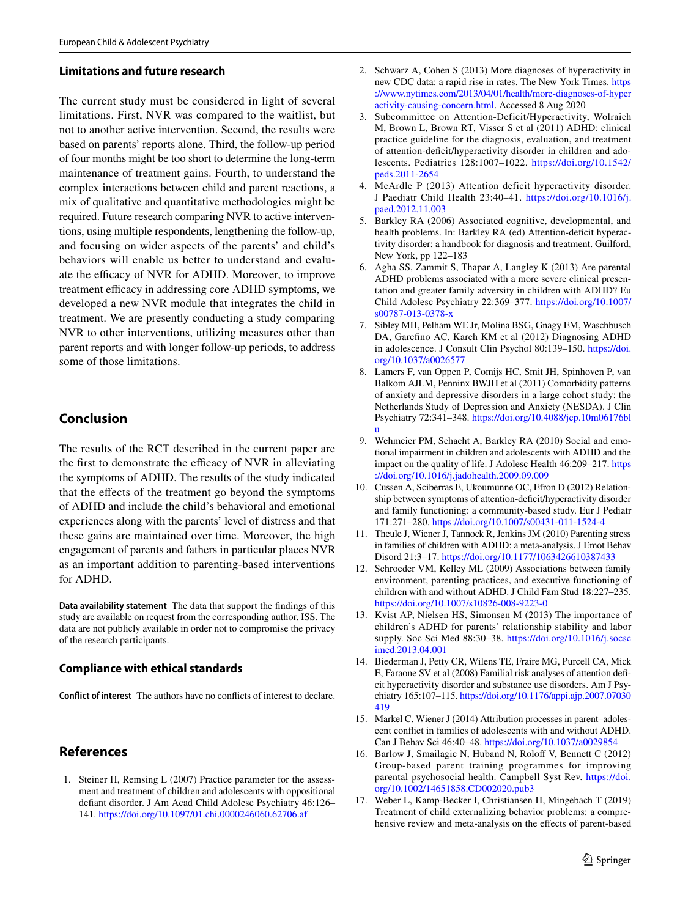## **Limitations and future research**

The current study must be considered in light of several limitations. First, NVR was compared to the waitlist, but not to another active intervention. Second, the results were based on parents' reports alone. Third, the follow-up period of four months might be too short to determine the long-term maintenance of treatment gains. Fourth, to understand the complex interactions between child and parent reactions, a mix of qualitative and quantitative methodologies might be required. Future research comparing NVR to active interventions, using multiple respondents, lengthening the follow-up, and focusing on wider aspects of the parents' and child's behaviors will enable us better to understand and evaluate the efficacy of NVR for ADHD. Moreover, to improve treatment efficacy in addressing core ADHD symptoms, we developed a new NVR module that integrates the child in treatment. We are presently conducting a study comparing NVR to other interventions, utilizing measures other than parent reports and with longer follow-up periods, to address some of those limitations.

# **Conclusion**

The results of the RCT described in the current paper are the first to demonstrate the efficacy of NVR in alleviating the symptoms of ADHD. The results of the study indicated that the efects of the treatment go beyond the symptoms of ADHD and include the child's behavioral and emotional experiences along with the parents' level of distress and that these gains are maintained over time. Moreover, the high engagement of parents and fathers in particular places NVR as an important addition to parenting-based interventions for ADHD.

**Data availability statement** The data that support the fndings of this study are available on request from the corresponding author, ISS. The data are not publicly available in order not to compromise the privacy of the research participants.

## **Compliance with ethical standards**

**Conflict of interest** The authors have no conficts of interest to declare.

# **References**

<span id="page-8-0"></span>1. Steiner H, Remsing L (2007) Practice parameter for the assessment and treatment of children and adolescents with oppositional defant disorder. J Am Acad Child Adolesc Psychiatry 46:126– 141.<https://doi.org/10.1097/01.chi.0000246060.62706.af>

- <span id="page-8-1"></span>2. Schwarz A, Cohen S (2013) More diagnoses of hyperactivity in new CDC data: a rapid rise in rates. The New York Times. [https](https://www.nytimes.com/2013/04/01/health/more-diagnoses-of-hyperactivity-causing-concern.html) [://www.nytimes.com/2013/04/01/health/more-diagnoses-of-hyper](https://www.nytimes.com/2013/04/01/health/more-diagnoses-of-hyperactivity-causing-concern.html) [activity-causing-concern.html](https://www.nytimes.com/2013/04/01/health/more-diagnoses-of-hyperactivity-causing-concern.html). Accessed 8 Aug 2020
- <span id="page-8-2"></span>3. Subcommittee on Attention-Deficit/Hyperactivity, Wolraich M, Brown L, Brown RT, Visser S et al (2011) ADHD: clinical practice guideline for the diagnosis, evaluation, and treatment of attention-deficit/hyperactivity disorder in children and adolescents. Pediatrics 128:1007–1022. [https://doi.org/10.1542/](https://doi.org/10.1542/peds.2011-2654) [peds.2011-2654](https://doi.org/10.1542/peds.2011-2654)
- <span id="page-8-3"></span>4. McArdle P (2013) Attention deficit hyperactivity disorder. J Paediatr Child Health 23:40–41. [https://doi.org/10.1016/j.](https://doi.org/10.1016/j.paed.2012.11.003) [paed.2012.11.003](https://doi.org/10.1016/j.paed.2012.11.003)
- <span id="page-8-4"></span>5. Barkley RA (2006) Associated cognitive, developmental, and health problems. In: Barkley RA (ed) Attention-deficit hyperactivity disorder: a handbook for diagnosis and treatment. Guilford, New York, pp 122–183
- <span id="page-8-5"></span>6. Agha SS, Zammit S, Thapar A, Langley K (2013) Are parental ADHD problems associated with a more severe clinical presentation and greater family adversity in children with ADHD? Eu Child Adolesc Psychiatry 22:369–377. [https://doi.org/10.1007/](https://doi.org/10.1007/s00787-013-0378-x) [s00787-013-0378-x](https://doi.org/10.1007/s00787-013-0378-x)
- <span id="page-8-6"></span>7. Sibley MH, Pelham WE Jr, Molina BSG, Gnagy EM, Waschbusch DA, Garefno AC, Karch KM et al (2012) Diagnosing ADHD in adolescence. J Consult Clin Psychol 80:139–150. [https://doi.](https://doi.org/10.1037/a0026577) [org/10.1037/a0026577](https://doi.org/10.1037/a0026577)
- <span id="page-8-7"></span>8. Lamers F, van Oppen P, Comijs HC, Smit JH, Spinhoven P, van Balkom AJLM, Penninx BWJH et al (2011) Comorbidity patterns of anxiety and depressive disorders in a large cohort study: the Netherlands Study of Depression and Anxiety (NESDA). J Clin Psychiatry 72:341–348. [https://doi.org/10.4088/jcp.10m06176bl](https://doi.org/10.4088/jcp.10m06176blu) [u](https://doi.org/10.4088/jcp.10m06176blu)
- <span id="page-8-8"></span>9. Wehmeier PM, Schacht A, Barkley RA (2010) Social and emotional impairment in children and adolescents with ADHD and the impact on the quality of life. J Adolesc Health 46:209–217. [https](https://doi.org/10.1016/j.jadohealth.2009.09.009) [://doi.org/10.1016/j.jadohealth.2009.09.009](https://doi.org/10.1016/j.jadohealth.2009.09.009)
- <span id="page-8-9"></span>10. Cussen A, Sciberras E, Ukoumunne OC, Efron D (2012) Relationship between symptoms of attention-deficit/hyperactivity disorder and family functioning: a community-based study. Eur J Pediatr 171:271–280. <https://doi.org/10.1007/s00431-011-1524-4>
- <span id="page-8-10"></span>11. Theule J, Wiener J, Tannock R, Jenkins JM (2010) Parenting stress in families of children with ADHD: a meta-analysis. J Emot Behav Disord 21:3–17.<https://doi.org/10.1177/1063426610387433>
- <span id="page-8-11"></span>12. Schroeder VM, Kelley ML (2009) Associations between family environment, parenting practices, and executive functioning of children with and without ADHD. J Child Fam Stud 18:227–235. <https://doi.org/10.1007/s10826-008-9223-0>
- <span id="page-8-12"></span>13. Kvist AP, Nielsen HS, Simonsen M (2013) The importance of children's ADHD for parents' relationship stability and labor supply. Soc Sci Med 88:30–38. [https://doi.org/10.1016/j.socsc](https://doi.org/10.1016/j.socscimed.2013.04.001) [imed.2013.04.001](https://doi.org/10.1016/j.socscimed.2013.04.001)
- <span id="page-8-13"></span>14. Biederman J, Petty CR, Wilens TE, Fraire MG, Purcell CA, Mick E, Faraone SV et al (2008) Familial risk analyses of attention defcit hyperactivity disorder and substance use disorders. Am J Psychiatry 165:107–115. [https://doi.org/10.1176/appi.ajp.2007.07030](https://doi.org/10.1176/appi.ajp.2007.07030419) [419](https://doi.org/10.1176/appi.ajp.2007.07030419)
- <span id="page-8-14"></span>15. Markel C, Wiener J (2014) Attribution processes in parent–adolescent confict in families of adolescents with and without ADHD. Can J Behav Sci 46:40–48. <https://doi.org/10.1037/a0029854>
- <span id="page-8-15"></span>16. Barlow J, Smailagic N, Huband N, Roloff V, Bennett C (2012) Group-based parent training programmes for improving parental psychosocial health. Campbell Syst Rev. [https://doi.](https://doi.org/10.1002/14651858.CD002020.pub3) [org/10.1002/14651858.CD002020.pub3](https://doi.org/10.1002/14651858.CD002020.pub3)
- <span id="page-8-16"></span>17. Weber L, Kamp-Becker I, Christiansen H, Mingebach T (2019) Treatment of child externalizing behavior problems: a comprehensive review and meta-analysis on the efects of parent-based